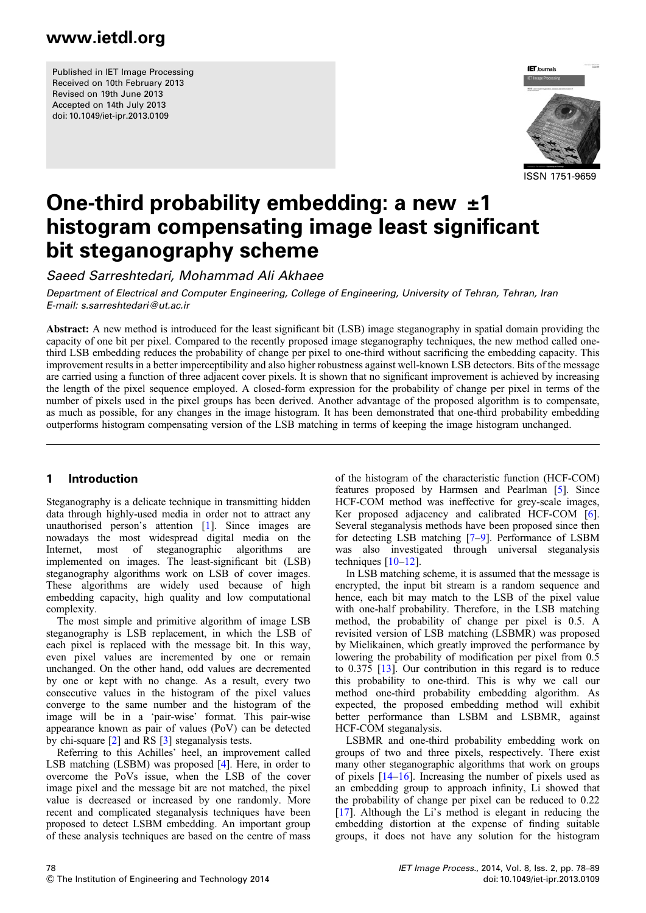Published in IET Image Processing Received on 10th February 2013 Revised on 19th June 2013 Accepted on 14th July 2013 doi: 10.1049/iet-ipr.2013.0109



ISSN 1751-9659

# One-third probability embedding: a new  $\pm 1$ histogram compensating image least significant bit steganography scheme

Saeed Sarreshtedari, Mohammad Ali Akhaee

Department of Electrical and Computer Engineering, College of Engineering, University of Tehran, Tehran, Iran E-mail: s.sarreshtedari@ut.ac.ir

Abstract: A new method is introduced for the least significant bit (LSB) image steganography in spatial domain providing the capacity of one bit per pixel. Compared to the recently proposed image steganography techniques, the new method called onethird LSB embedding reduces the probability of change per pixel to one-third without sacrificing the embedding capacity. This improvement results in a better imperceptibility and also higher robustness against well-known LSB detectors. Bits of the message are carried using a function of three adjacent cover pixels. It is shown that no significant improvement is achieved by increasing the length of the pixel sequence employed. A closed-form expression for the probability of change per pixel in terms of the number of pixels used in the pixel groups has been derived. Another advantage of the proposed algorithm is to compensate, as much as possible, for any changes in the image histogram. It has been demonstrated that one-third probability embedding outperforms histogram compensating version of the LSB matching in terms of keeping the image histogram unchanged.

#### 1 Introduction

Steganography is a delicate technique in transmitting hidden data through highly-used media in order not to attract any unauthorised person's attention [1]. Since images are nowadays the most widespread digital media on the Internet, most of steganographic algorithms are implemented on images. The least-significant bit (LSB) steganography algorithms work on LSB of cover images. These algorithms are widely used because of high embedding capacity, high quality and low computational complexity.

The most simple and primitive algorithm of image LSB steganography is LSB replacement, in which the LSB of each pixel is replaced with the message bit. In this way, even pixel values are incremented by one or remain unchanged. On the other hand, odd values are decremented by one or kept with no change. As a result, every two consecutive values in the histogram of the pixel values converge to the same number and the histogram of the image will be in a 'pair-wise' format. This pair-wise appearance known as pair of values (PoV) can be detected by chi-square [2] and RS [3] steganalysis tests.

Referring to this Achilles' heel, an improvement called LSB matching (LSBM) was proposed [4]. Here, in order to overcome the PoVs issue, when the LSB of the cover image pixel and the message bit are not matched, the pixel value is decreased or increased by one randomly. More recent and complicated steganalysis techniques have been proposed to detect LSBM embedding. An important group of these analysis techniques are based on the centre of mass of the histogram of the characteristic function (HCF-COM) features proposed by Harmsen and Pearlman [5]. Since HCF-COM method was ineffective for grey-scale images, Ker proposed adjacency and calibrated HCF-COM [6]. Several steganalysis methods have been proposed since then for detecting LSB matching [7–9]. Performance of LSBM was also investigated through universal steganalysis techniques [10–12].

In LSB matching scheme, it is assumed that the message is encrypted, the input bit stream is a random sequence and hence, each bit may match to the LSB of the pixel value with one-half probability. Therefore, in the LSB matching method, the probability of change per pixel is 0.5. A revisited version of LSB matching (LSBMR) was proposed by Mielikainen, which greatly improved the performance by lowering the probability of modification per pixel from 0.5 to 0.375 [13]. Our contribution in this regard is to reduce this probability to one-third. This is why we call our method one-third probability embedding algorithm. As expected, the proposed embedding method will exhibit better performance than LSBM and LSBMR, against HCF-COM steganalysis.

LSBMR and one-third probability embedding work on groups of two and three pixels, respectively. There exist many other steganographic algorithms that work on groups of pixels [14–16]. Increasing the number of pixels used as an embedding group to approach infinity, Li showed that the probability of change per pixel can be reduced to 0.22 [17]. Although the Li's method is elegant in reducing the embedding distortion at the expense of finding suitable groups, it does not have any solution for the histogram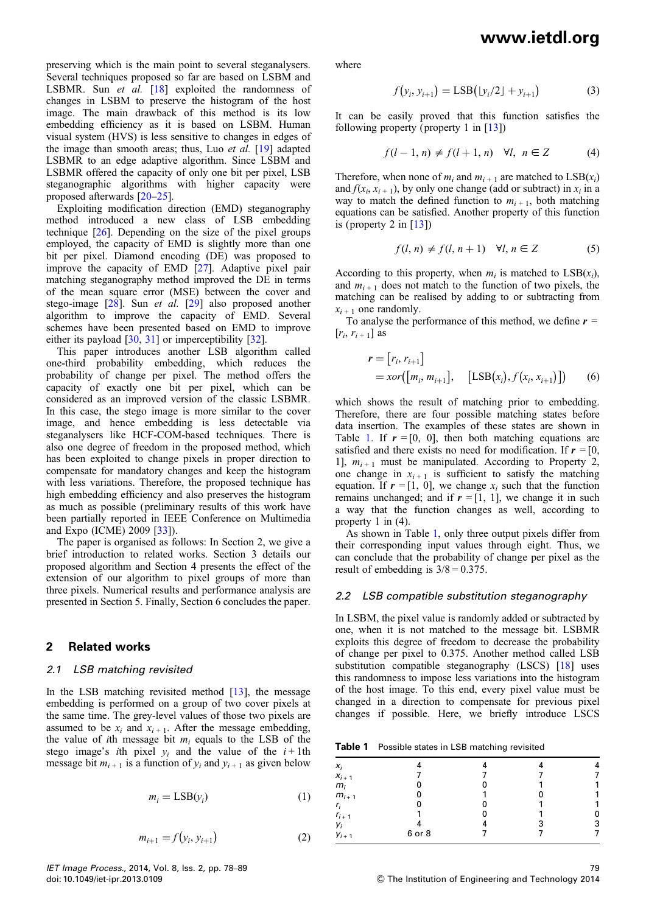preserving which is the main point to several steganalysers. Several techniques proposed so far are based on LSBM and LSBMR. Sun et al. [18] exploited the randomness of changes in LSBM to preserve the histogram of the host image. The main drawback of this method is its low embedding efficiency as it is based on LSBM. Human visual system (HVS) is less sensitive to changes in edges of the image than smooth areas; thus, Luo et al. [19] adapted LSBMR to an edge adaptive algorithm. Since LSBM and LSBMR offered the capacity of only one bit per pixel, LSB steganographic algorithms with higher capacity were proposed afterwards [20–25].

Exploiting modification direction (EMD) steganography method introduced a new class of LSB embedding technique [26]. Depending on the size of the pixel groups employed, the capacity of EMD is slightly more than one bit per pixel. Diamond encoding (DE) was proposed to improve the capacity of EMD [27]. Adaptive pixel pair matching steganography method improved the DE in terms of the mean square error (MSE) between the cover and stego-image [28]. Sun et al. [29] also proposed another algorithm to improve the capacity of EMD. Several schemes have been presented based on EMD to improve either its payload [30, 31] or imperceptibility [32].

This paper introduces another LSB algorithm called one-third probability embedding, which reduces the probability of change per pixel. The method offers the capacity of exactly one bit per pixel, which can be considered as an improved version of the classic LSBMR. In this case, the stego image is more similar to the cover image, and hence embedding is less detectable via steganalysers like HCF-COM-based techniques. There is also one degree of freedom in the proposed method, which has been exploited to change pixels in proper direction to compensate for mandatory changes and keep the histogram with less variations. Therefore, the proposed technique has high embedding efficiency and also preserves the histogram as much as possible (preliminary results of this work have been partially reported in IEEE Conference on Multimedia and Expo (ICME) 2009 [33]).

The paper is organised as follows: In Section 2, we give a brief introduction to related works. Section 3 details our proposed algorithm and Section 4 presents the effect of the extension of our algorithm to pixel groups of more than three pixels. Numerical results and performance analysis are presented in Section 5. Finally, Section 6 concludes the paper.

#### 2 Related works

#### 2.1 LSB matching revisited

In the LSB matching revisited method [13], the message embedding is performed on a group of two cover pixels at the same time. The grey-level values of those two pixels are assumed to be  $x_i$  and  $x_{i+1}$ . After the message embedding, the value of ith message bit  $m_i$  equals to the LSB of the stego image's *i*th pixel  $y_i$  and the value of the  $i+1$ th message bit  $m_{i+1}$  is a function of  $y_i$  and  $y_{i+1}$  as given below

$$
m_i = \text{LSB}(y_i) \tag{1}
$$

$$
m_{i+1} = f(y_i, y_{i+1})
$$
 (2)

where

$$
f(y_i, y_{i+1}) = \text{LSB}(|y_i/2| + y_{i+1})
$$
 (3)

It can be easily proved that this function satisfies the following property (property 1 in [13])

$$
f(l-1,n) \neq f(l+1,n) \quad \forall l, \ n \in \mathbb{Z} \tag{4}
$$

Therefore, when none of  $m_i$  and  $m_{i+1}$  are matched to  $LSB(x_i)$ and  $f(x_i, x_{i+1})$ , by only one change (add or subtract) in  $x_i$  in a way to match the defined function to  $m_{i+1}$ , both matching equations can be satisfied. Another property of this function is (property 2 in  $[13]$ )

$$
f(l, n) \neq f(l, n+1) \quad \forall l, n \in \mathbb{Z}
$$
 (5)

According to this property, when  $m_i$  is matched to  $LSB(x_i)$ , and  $m_{i+1}$  does not match to the function of two pixels, the matching can be realised by adding to or subtracting from  $x_{i+1}$  one randomly.

To analyse the performance of this method, we define  $r =$  $[r_i, r_{i+1}]$  as

$$
\mathbf{r} = [r_i, r_{i+1}]
$$
  
=  $x \text{or} ([m_i, m_{i+1}], [LSB(x_i), f(x_i, x_{i+1})])$  (6)

which shows the result of matching prior to embedding. Therefore, there are four possible matching states before data insertion. The examples of these states are shown in Table 1. If  $r = [0, 0]$ , then both matching equations are satisfied and there exists no need for modification. If  $r = [0,$ 1],  $m_{i+1}$  must be manipulated. According to Property 2, one change in  $x_{i+1}$  is sufficient to satisfy the matching equation. If  $r = [1, 0]$ , we change  $x_i$  such that the function remains unchanged; and if  $r = [1, 1]$ , we change it in such a way that the function changes as well, according to property 1 in (4).

As shown in Table 1, only three output pixels differ from their corresponding input values through eight. Thus, we can conclude that the probability of change per pixel as the result of embedding is  $3/8 = 0.375$ .

#### 2.2 LSB compatible substitution steganography

In LSBM, the pixel value is randomly added or subtracted by one, when it is not matched to the message bit. LSBMR exploits this degree of freedom to decrease the probability of change per pixel to 0.375. Another method called LSB substitution compatible steganography (LSCS) [18] uses this randomness to impose less variations into the histogram of the host image. To this end, every pixel value must be changed in a direction to compensate for previous pixel changes if possible. Here, we briefly introduce LSCS

Table 1 Possible states in LSB matching revisited

| $x_i$     |        |   |   |
|-----------|--------|---|---|
| $X_{i+1}$ |        |   |   |
| $m_i$     |        |   |   |
| $m_{i+1}$ |        |   |   |
| $r_i$     |        |   |   |
| $r_{i+1}$ |        |   |   |
| Yi        |        | 3 | 3 |
| $y_{i+1}$ | 6 or 8 |   |   |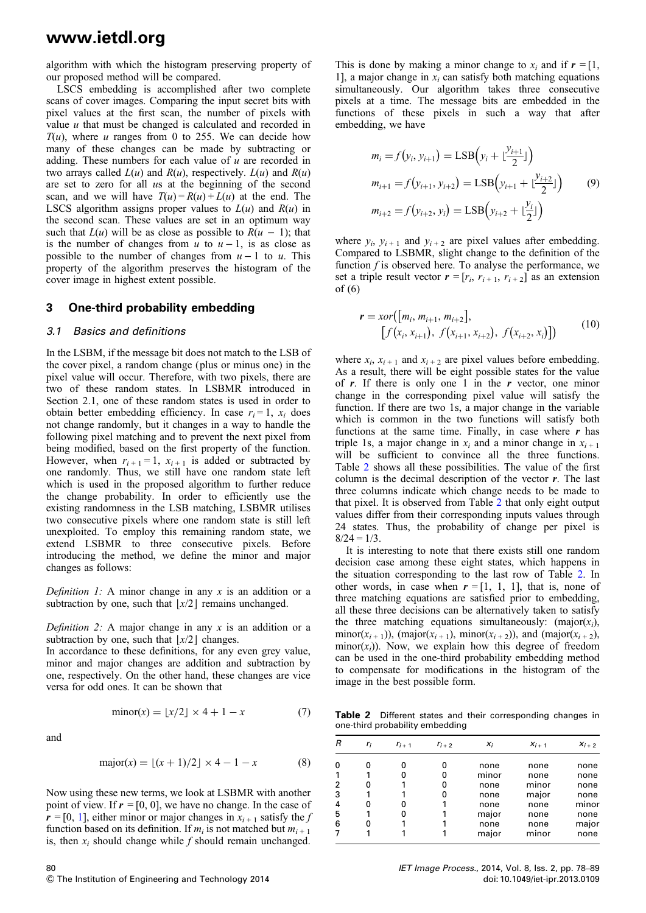algorithm with which the histogram preserving property of our proposed method will be compared.

LSCS embedding is accomplished after two complete scans of cover images. Comparing the input secret bits with pixel values at the first scan, the number of pixels with value  $u$  that must be changed is calculated and recorded in  $T(u)$ , where u ranges from 0 to 255. We can decide how many of these changes can be made by subtracting or adding. These numbers for each value of  $u$  are recorded in two arrays called  $L(u)$  and  $R(u)$ , respectively.  $L(u)$  and  $R(u)$ are set to zero for all us at the beginning of the second scan, and we will have  $T(u) = R(u) + L(u)$  at the end. The LSCS algorithm assigns proper values to  $L(u)$  and  $R(u)$  in the second scan. These values are set in an optimum way such that  $L(u)$  will be as close as possible to  $R(u - 1)$ ; that is the number of changes from  $u$  to  $u - 1$ , is as close as possible to the number of changes from  $u - 1$  to u. This property of the algorithm preserves the histogram of the cover image in highest extent possible.

#### 3 One-third probability embedding

#### 3.1 Basics and definitions

In the LSBM, if the message bit does not match to the LSB of the cover pixel, a random change (plus or minus one) in the pixel value will occur. Therefore, with two pixels, there are two of these random states. In LSBMR introduced in Section 2.1, one of these random states is used in order to obtain better embedding efficiency. In case  $r_i = 1$ ,  $x_i$  does not change randomly, but it changes in a way to handle the following pixel matching and to prevent the next pixel from being modified, based on the first property of the function. However, when  $r_{i+1} = 1$ ,  $x_{i+1}$  is added or subtracted by one randomly. Thus, we still have one random state left which is used in the proposed algorithm to further reduce the change probability. In order to efficiently use the existing randomness in the LSB matching, LSBMR utilises two consecutive pixels where one random state is still left unexploited. To employ this remaining random state, we extend LSBMR to three consecutive pixels. Before introducing the method, we define the minor and major changes as follows:

Definition 1: A minor change in any  $x$  is an addition or a subtraction by one, such that  $|x/2|$  remains unchanged.

Definition 2: A major change in any  $x$  is an addition or a subtraction by one, such that  $|x/2|$  changes.

In accordance to these definitions, for any even grey value, minor and major changes are addition and subtraction by one, respectively. On the other hand, these changes are vice versa for odd ones. It can be shown that

$$
minor(x) = \lfloor x/2 \rfloor \times 4 + 1 - x \tag{7}
$$

and

80

$$
major(x) = \lfloor (x+1)/2 \rfloor \times 4 - 1 - x \tag{8}
$$

Now using these new terms, we look at LSBMR with another point of view. If  $r = [0, 0]$ , we have no change. In the case of  $r = [0, 1]$ , either minor or major changes in  $x_{i+1}$  satisfy the f function based on its definition. If  $m_i$  is not matched but  $m_{i+1}$ is, then  $x_i$  should change while f should remain unchanged.

This is done by making a minor change to  $x_i$  and if  $r = [1,$ 1], a major change in  $x_i$  can satisfy both matching equations simultaneously. Our algorithm takes three consecutive pixels at a time. The message bits are embedded in the functions of these pixels in such a way that after embedding, we have

$$
m_i = f(y_i, y_{i+1}) = \text{LSB}\Big(y_i + \lfloor \frac{y_{i+1}}{2} \rfloor\Big)
$$
  
\n
$$
m_{i+1} = f(y_{i+1}, y_{i+2}) = \text{LSB}\Big(y_{i+1} + \lfloor \frac{y_{i+2}}{2} \rfloor\Big)
$$
 (9)  
\n
$$
m_{i+2} = f(y_{i+2}, y_i) = \text{LSB}\Big(y_{i+2} + \lfloor \frac{y_i}{2} \rfloor\Big)
$$

where  $y_i$ ,  $y_{i+1}$  and  $y_{i+2}$  are pixel values after embedding. Compared to LSBMR, slight change to the definition of the function  $f$  is observed here. To analyse the performance, we set a triple result vector  $\mathbf{r} = [r_i, r_{i+1}, r_{i+2}]$  as an extension of (6)

$$
\mathbf{r} = xor([m_i, m_{i+1}, m_{i+2}],\n[f(x_i, x_{i+1}), f(x_{i+1}, x_{i+2}), f(x_{i+2}, x_i)])
$$
(10)

where  $x_i$ ,  $x_{i+1}$  and  $x_{i+2}$  are pixel values before embedding. As a result, there will be eight possible states for the value of  $r$ . If there is only one 1 in the  $r$  vector, one minor change in the corresponding pixel value will satisfy the function. If there are two 1s, a major change in the variable which is common in the two functions will satisfy both functions at the same time. Finally, in case where  $r$  has triple 1s, a major change in  $x_i$  and a minor change in  $x_{i+1}$ will be sufficient to convince all the three functions. Table 2 shows all these possibilities. The value of the first column is the decimal description of the vector  $r$ . The last three columns indicate which change needs to be made to that pixel. It is observed from Table 2 that only eight output values differ from their corresponding inputs values through 24 states. Thus, the probability of change per pixel is  $8/24 = 1/3$ .

It is interesting to note that there exists still one random decision case among these eight states, which happens in the situation corresponding to the last row of Table 2. In other words, in case when  $r = [1, 1, 1]$ , that is, none of three matching equations are satisfied prior to embedding, all these three decisions can be alternatively taken to satisfy the three matching equations simultaneously: (major( $x_i$ ), minor( $x_{i+1}$ )), (major( $x_{i+1}$ ), minor( $x_{i+2}$ )), and (major( $x_{i+2}$ ),  $minor(x<sub>i</sub>)$ ). Now, we explain how this degree of freedom can be used in the one-third probability embedding method to compensate for modifications in the histogram of the image in the best possible form.

Table 2 Different states and their corresponding changes in one-third probability embedding

| R | r <sub>i</sub> | $r_{i+1}$ | $r_{i+2}$ | $x_i$ | $X_{i+1}$ | $X_{i+2}$ |
|---|----------------|-----------|-----------|-------|-----------|-----------|
| 0 |                |           |           |       |           |           |
|   |                |           |           | none  | none      | none      |
|   |                |           | o         | minor | none      | none      |
| 2 | 0              |           | 0         | none  | minor     | none      |
| 3 |                |           | 0         | none  | major     | none      |
| 4 | 0              |           |           | none  | none      | minor     |
| 5 |                |           |           | major | none      | none      |
| 6 | o              |           |           | none  | none      | major     |
|   |                |           |           | major | minor     | none      |
|   |                |           |           |       |           |           |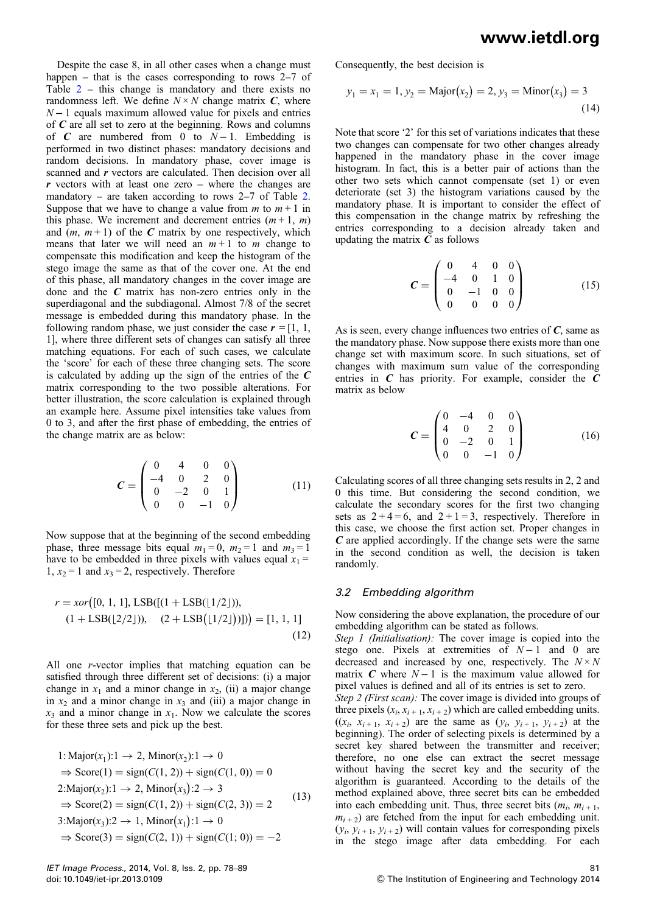Despite the case 8, in all other cases when a change must happen – that is the cases corresponding to rows 2–7 of Table  $2$  – this change is mandatory and there exists no randomness left. We define  $N \times N$  change matrix C, where  $N-1$  equals maximum allowed value for pixels and entries of  $C$  are all set to zero at the beginning. Rows and columns of C are numbered from 0 to  $N-1$ . Embedding is performed in two distinct phases: mandatory decisions and random decisions. In mandatory phase, cover image is scanned and r vectors are calculated. Then decision over all r vectors with at least one zero – where the changes are mandatory – are taken according to rows 2–7 of Table 2. Suppose that we have to change a value from  $m$  to  $m+1$  in this phase. We increment and decrement entries  $(m+1, m)$ and  $(m, m+1)$  of the C matrix by one respectively, which means that later we will need an  $m+1$  to m change to compensate this modification and keep the histogram of the stego image the same as that of the cover one. At the end of this phase, all mandatory changes in the cover image are done and the  $C$  matrix has non-zero entries only in the superdiagonal and the subdiagonal. Almost 7/8 of the secret message is embedded during this mandatory phase. In the following random phase, we just consider the case  $r = [1, 1, 1]$ 1], where three different sets of changes can satisfy all three matching equations. For each of such cases, we calculate the 'score' for each of these three changing sets. The score is calculated by adding up the sign of the entries of the  $C$ matrix corresponding to the two possible alterations. For better illustration, the score calculation is explained through an example here. Assume pixel intensities take values from 0 to 3, and after the first phase of embedding, the entries of the change matrix are as below:

$$
C = \begin{pmatrix} 0 & 4 & 0 & 0 \\ -4 & 0 & 2 & 0 \\ 0 & -2 & 0 & 1 \\ 0 & 0 & -1 & 0 \end{pmatrix}
$$
 (11)

Now suppose that at the beginning of the second embedding phase, three message bits equal  $m_1 = 0$ ,  $m_2 = 1$  and  $m_3 = 1$ have to be embedded in three pixels with values equal  $x_1 =$ 1,  $x_2 = 1$  and  $x_3 = 2$ , respectively. Therefore

$$
r = xor([0, 1, 1], \text{LSB}([1 + \text{LSB}(1/2)])),
$$
  
(1 + \text{LSB}(2/2))), (2 + \text{LSB}(1/2)])] = [1, 1, 1] (12)

All one r-vector implies that matching equation can be satisfied through three different set of decisions: (i) a major change in  $x_1$  and a minor change in  $x_2$ , (ii) a major change in  $x_2$  and a minor change in  $x_3$  and (iii) a major change in  $x_3$  and a minor change in  $x_1$ . Now we calculate the scores for these three sets and pick up the best.

1: Major
$$
(x_1)
$$
: 1  $\rightarrow$  2, Minor $(x_2)$ : 1  $\rightarrow$  0  
\n $\Rightarrow$  Score(1) = sign $(C(1, 2)) +$ sign $(C(1, 0)) = 0$   
\n2:Major $(x_2)$ : 1  $\rightarrow$  2, Minor $(x_3)$ : 2  $\rightarrow$  3  
\n $\Rightarrow$  Score(2) = sign $(C(1, 2)) +$ sign $(C(2, 3)) = 2$   
\n3:Major $(x_3)$ : 2  $\rightarrow$  1, Minor $(x_1)$ : 1  $\rightarrow$  0  
\n $\Rightarrow$  Score(3) = sign $(C(2, 1)) +$ sign $(C(1; 0)) = -2$ 

Consequently, the best decision is

$$
y_1 = x_1 = 1, y_2 = \text{Major}(x_2) = 2, y_3 = \text{Minor}(x_3) = 3
$$
 (14)

Note that score '2' for this set of variations indicates that these two changes can compensate for two other changes already happened in the mandatory phase in the cover image histogram. In fact, this is a better pair of actions than the other two sets which cannot compensate (set 1) or even deteriorate (set 3) the histogram variations caused by the mandatory phase. It is important to consider the effect of this compensation in the change matrix by refreshing the entries corresponding to a decision already taken and updating the matrix  $C$  as follows

$$
C = \begin{pmatrix} 0 & 4 & 0 & 0 \\ -4 & 0 & 1 & 0 \\ 0 & -1 & 0 & 0 \\ 0 & 0 & 0 & 0 \end{pmatrix}
$$
 (15)

As is seen, every change influences two entries of  $C$ , same as the mandatory phase. Now suppose there exists more than one change set with maximum score. In such situations, set of changes with maximum sum value of the corresponding entries in  $C$  has priority. For example, consider the  $C$ matrix as below

$$
\mathbf{C} = \begin{pmatrix} 0 & -4 & 0 & 0 \\ 4 & 0 & 2 & 0 \\ 0 & -2 & 0 & 1 \\ 0 & 0 & -1 & 0 \end{pmatrix} \tag{16}
$$

Calculating scores of all three changing sets results in 2, 2 and 0 this time. But considering the second condition, we calculate the secondary scores for the first two changing sets as  $2+4=6$ , and  $2+1=3$ , respectively. Therefore in this case, we choose the first action set. Proper changes in  $C$  are applied accordingly. If the change sets were the same in the second condition as well, the decision is taken randomly.

#### 3.2 Embedding algorithm

Now considering the above explanation, the procedure of our embedding algorithm can be stated as follows.

Step 1 (Initialisation): The cover image is copied into the stego one. Pixels at extremities of  $N-1$  and 0 are decreased and increased by one, respectively. The  $N \times N$ matrix C where  $N-1$  is the maximum value allowed for pixel values is defined and all of its entries is set to zero. Step 2 (First scan): The cover image is divided into groups of three pixels  $(x_i, x_{i+1}, x_{i+2})$  which are called embedding units.  $((x_i, x_{i+1}, x_{i+2})$  are the same as  $(y_i, y_{i+1}, y_{i+2})$  at the beginning). The order of selecting pixels is determined by a secret key shared between the transmitter and receiver; therefore, no one else can extract the secret message without having the secret key and the security of the algorithm is guaranteed. According to the details of the method explained above, three secret bits can be embedded into each embedding unit. Thus, three secret bits  $(m_i, m_{i+1},$  $m_{i+2}$ ) are fetched from the input for each embedding unit.  $(y_i, y_{i+1}, y_{i+2})$  will contain values for corresponding pixels in the stego image after data embedding. For each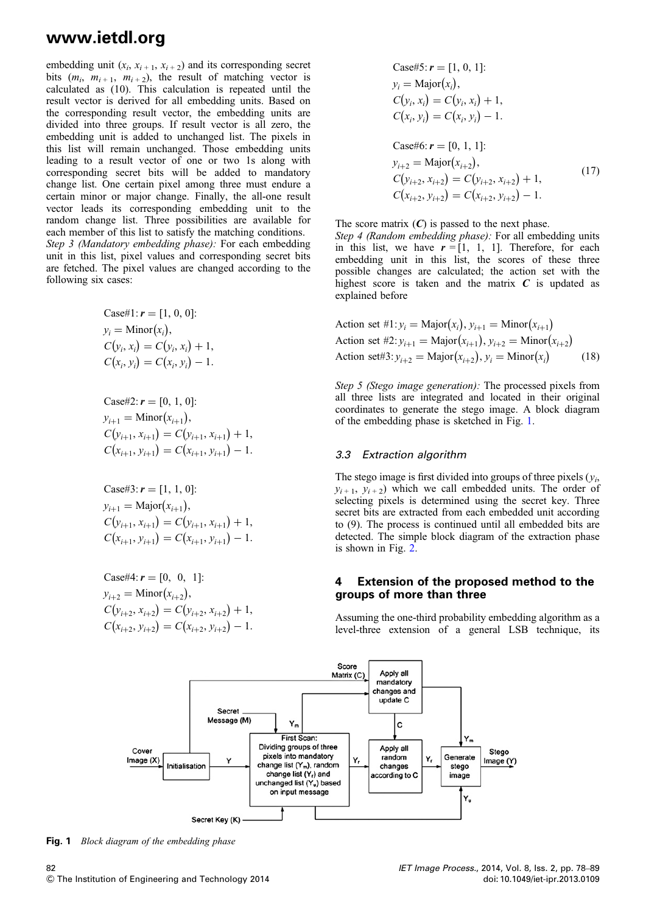embedding unit  $(x_i, x_{i+1}, x_{i+2})$  and its corresponding secret bits  $(m_i, m_{i+1}, m_{i+2})$ , the result of matching vector is calculated as (10). This calculation is repeated until the result vector is derived for all embedding units. Based on the corresponding result vector, the embedding units are divided into three groups. If result vector is all zero, the embedding unit is added to unchanged list. The pixels in this list will remain unchanged. Those embedding units leading to a result vector of one or two 1s along with corresponding secret bits will be added to mandatory change list. One certain pixel among three must endure a certain minor or major change. Finally, the all-one result vector leads its corresponding embedding unit to the random change list. Three possibilities are available for each member of this list to satisfy the matching conditions. Step 3 (Mandatory embedding phase): For each embedding

unit in this list, pixel values and corresponding secret bits are fetched. The pixel values are changed according to the following six cases:

Case#1: 
$$
r = [1, 0, 0]
$$
:  
\n $y_i = \text{Minor}(x_i),$   
\n $C(y_i, x_i) = C(y_i, x_i) + 1,$   
\n $C(x_i, y_i) = C(x_i, y_i) - 1.$ 

Case#2:  $r = [0, 1, 0]$ :  $y_{i+1} = \text{Minor}(x_{i+1}),$  $C(y_{i+1}, x_{i+1}) = C(y_{i+1}, x_{i+1}) + 1,$  $C(x_{i+1}, y_{i+1}) = C(x_{i+1}, y_{i+1}) - 1.$ 

Case#3: 
$$
r = [1, 1, 0]
$$
:  
\n $y_{i+1} = \text{Major}(x_{i+1}),$   
\n $C(y_{i+1}, x_{i+1}) = C(y_{i+1}, x_{i+1}) + 1,$   
\n $C(x_{i+1}, y_{i+1}) = C(x_{i+1}, y_{i+1}) - 1.$ 

Case#4:  $r = [0, 0, 1]$ :  $y_{i+2} = \text{Minor}(x_{i+2}),$  $C(y_{i+2}, x_{i+2}) = C(y_{i+2}, x_{i+2}) + 1,$  $C(x_{i+2}, y_{i+2}) = C(x_{i+2}, y_{i+2}) - 1.$ 

Case#5: 
$$
r = [1, 0, 1]
$$
:  
\n $y_i = \text{Major}(x_i),$   
\n $C(y_i, x_i) = C(y_i, x_i) + 1,$   
\n $C(x_i, y_i) = C(x_i, y_i) - 1.$   
\nCase#6:  $r = [0, 1, 1]$ :  
\n $y_{i+2} = \text{Major}(x_{i+2}),$   
\n $C(y_{i+2}, x_{i+2}) = C(y_{i+2}, x_{i+2}) + 1,$   
\n $C(x_{i+2}, y_{i+2}) = C(x_{i+2}, y_{i+2}) - 1.$  (17)

The score matrix  $(C)$  is passed to the next phase.

Step 4 (Random embedding phase): For all embedding units in this list, we have  $r = [1, 1, 1]$ . Therefore, for each embedding unit in this list, the scores of these three possible changes are calculated; the action set with the highest score is taken and the matrix  $C$  is updated as explained before

Action set #1: 
$$
y_i = \text{Major}(x_i), y_{i+1} = \text{Minor}(x_{i+1})
$$
  
\nAction set #2:  $y_{i+1} = \text{Major}(x_{i+1}), y_{i+2} = \text{Minor}(x_{i+2})$   
\nAction set#3:  $y_{i+2} = \text{Major}(x_{i+2}), y_i = \text{Minor}(x_i)$  (18)

Step 5 (Stego image generation): The processed pixels from all three lists are integrated and located in their original coordinates to generate the stego image. A block diagram of the embedding phase is sketched in Fig. 1.

#### 3.3 Extraction algorithm

The stego image is first divided into groups of three pixels  $(y_i)$ ,  $y_{i+1}$ ,  $y_{i+2}$ ) which we call embedded units. The order of selecting pixels is determined using the secret key. Three secret bits are extracted from each embedded unit according to (9). The process is continued until all embedded bits are detected. The simple block diagram of the extraction phase is shown in Fig. 2.

#### 4 Extension of the proposed method to the groups of more than three

Assuming the one-third probability embedding algorithm as a level-three extension of a general LSB technique, its



Fig. 1 Block diagram of the embedding phase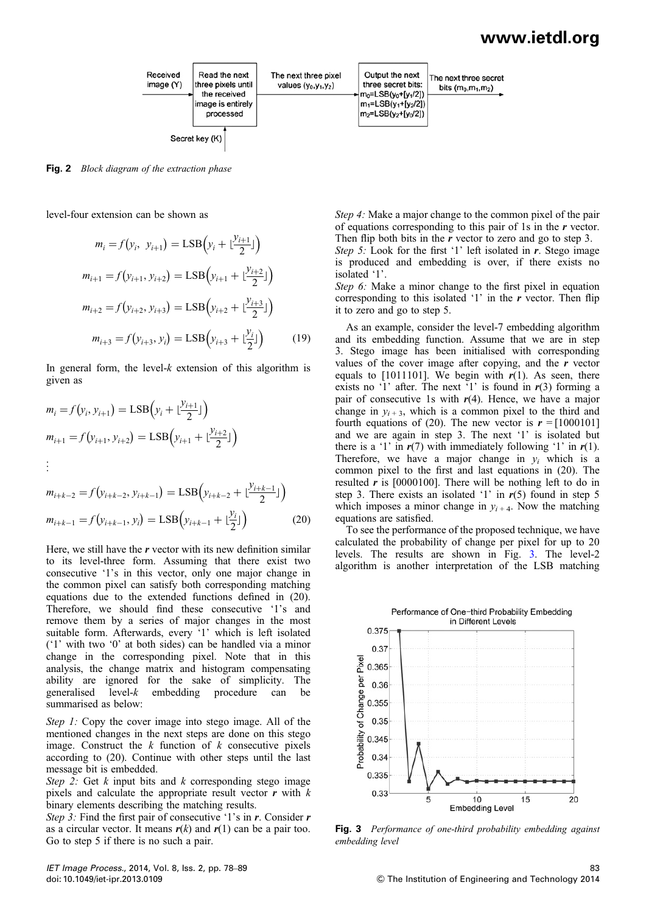

Fig. 2 Block diagram of the extraction phase

level-four extension can be shown as

$$
m_i = f(y_i, y_{i+1}) = \text{LSB}\Big(y_i + \lfloor \frac{y_{i+1}}{2} \rfloor\Big)
$$
  

$$
m_{i+1} = f(y_{i+1}, y_{i+2}) = \text{LSB}\Big(y_{i+1} + \lfloor \frac{y_{i+2}}{2} \rfloor\Big)
$$
  

$$
m_{i+2} = f(y_{i+2}, y_{i+3}) = \text{LSB}\Big(y_{i+2} + \lfloor \frac{y_{i+3}}{2} \rfloor\Big)
$$
  

$$
m_{i+3} = f(y_{i+3}, y_i) = \text{LSB}\Big(y_{i+3} + \lfloor \frac{y_i}{2} \rfloor\Big) \tag{19}
$$

In general form, the level- $k$  extension of this algorithm is given as

$$
m_i = f(y_i, y_{i+1}) = \text{LSB}\Big(y_i + \frac{y_{i+1}}{2}\Big)\Big)
$$
  

$$
m_{i+1} = f(y_{i+1}, y_{i+2}) = \text{LSB}\Big(y_{i+1} + \frac{y_{i+2}}{2}\Big)
$$
  

$$
\vdots
$$

$$
m_{i+k-2} = f(y_{i+k-2}, y_{i+k-1}) = \text{LSB}\Big(y_{i+k-2} + \lfloor \frac{y_{i+k-1}}{2} \rfloor\Big)
$$
  

$$
m_{i+k-1} = f(y_{i+k-1}, y_i) = \text{LSB}\Big(y_{i+k-1} + \lfloor \frac{y_i}{2} \rfloor\Big)
$$
 (20)

Here, we still have the  $r$  vector with its new definition similar to its level-three form. Assuming that there exist two consecutive '1's in this vector, only one major change in the common pixel can satisfy both corresponding matching equations due to the extended functions defined in (20). Therefore, we should find these consecutive '1's and remove them by a series of major changes in the most suitable form. Afterwards, every '1' which is left isolated ('1' with two '0' at both sides) can be handled via a minor change in the corresponding pixel. Note that in this analysis, the change matrix and histogram compensating ability are ignored for the sake of simplicity. The generalised level- $k$  embedding procedure can be embedding procedure can be summarised as below:

Step 1: Copy the cover image into stego image. All of the mentioned changes in the next steps are done on this stego image. Construct the  $k$  function of  $k$  consecutive pixels according to (20). Continue with other steps until the last message bit is embedded.

Step 2: Get  $k$  input bits and  $k$  corresponding stego image pixels and calculate the appropriate result vector  $r$  with  $k$ binary elements describing the matching results.

Step 3: Find the first pair of consecutive '1's in  $r$ . Consider  $r$ as a circular vector. It means  $r(k)$  and  $r(1)$  can be a pair too. Go to step 5 if there is no such a pair.

Step 4: Make a major change to the common pixel of the pair of equations corresponding to this pair of 1s in the r vector. Then flip both bits in the  $r$  vector to zero and go to step 3.

Step 5: Look for the first '1' left isolated in  $\vec{r}$ . Stego image is produced and embedding is over, if there exists no isolated '1'.

Step 6: Make a minor change to the first pixel in equation corresponding to this isolated  $'1'$  in the r vector. Then flip it to zero and go to step 5.

As an example, consider the level-7 embedding algorithm and its embedding function. Assume that we are in step 3. Stego image has been initialised with corresponding values of the cover image after copying, and the  $r$  vector equals to [1011101]. We begin with  $r(1)$ . As seen, there exists no '1' after. The next '1' is found in  $r(3)$  forming a pair of consecutive 1s with  $r(4)$ . Hence, we have a major change in  $y_{i+3}$ , which is a common pixel to the third and fourth equations of (20). The new vector is  $r = [1000101]$ and we are again in step 3. The next '1' is isolated but there is a '1' in  $r(7)$  with immediately following '1' in  $r(1)$ . Therefore, we have a major change in  $y_i$  which is a common pixel to the first and last equations in (20). The resulted  $r$  is [0000100]. There will be nothing left to do in step 3. There exists an isolated '1' in  $r(5)$  found in step 5 which imposes a minor change in  $y_{i+4}$ . Now the matching equations are satisfied.

To see the performance of the proposed technique, we have calculated the probability of change per pixel for up to 20 levels. The results are shown in Fig. 3. The level-2 algorithm is another interpretation of the LSB matching



Fig. 3 Performance of one-third probability embedding against embedding level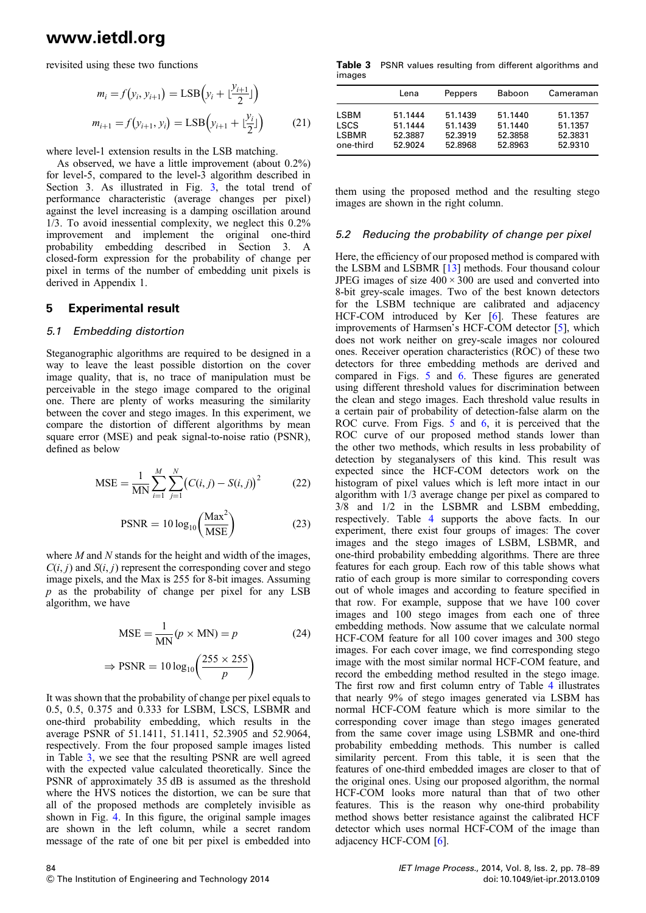revisited using these two functions

$$
m_i = f(y_i, y_{i+1}) = \text{LSB}\Big(y_i + \lfloor \frac{y_{i+1}}{2} \rfloor\Big)
$$
  

$$
m_{i+1} = f(y_{i+1}, y_i) = \text{LSB}\Big(y_{i+1} + \lfloor \frac{y_i}{2} \rfloor\Big) \tag{21}
$$

where level-1 extension results in the LSB matching.

As observed, we have a little improvement (about 0.2%) for level-5, compared to the level-3 algorithm described in Section 3. As illustrated in Fig. 3, the total trend of performance characteristic (average changes per pixel) against the level increasing is a damping oscillation around 1/3. To avoid inessential complexity, we neglect this 0.2% improvement and implement the original one-third probability embedding described in Section 3. A closed-form expression for the probability of change per pixel in terms of the number of embedding unit pixels is derived in Appendix 1.

#### 5 Experimental result

#### 5.1 Embedding distortion

Steganographic algorithms are required to be designed in a way to leave the least possible distortion on the cover image quality, that is, no trace of manipulation must be perceivable in the stego image compared to the original one. There are plenty of works measuring the similarity between the cover and stego images. In this experiment, we compare the distortion of different algorithms by mean square error (MSE) and peak signal-to-noise ratio (PSNR), defined as below

$$
MSE = \frac{1}{MN} \sum_{i=1}^{M} \sum_{j=1}^{N} (C(i, j) - S(i, j))^{2}
$$
 (22)

$$
PSNR = 10 \log_{10} \left( \frac{\text{Max}^2}{\text{MSE}} \right) \tag{23}
$$

where  $M$  and  $N$  stands for the height and width of the images,  $C(i, j)$  and  $S(i, j)$  represent the corresponding cover and stego image pixels, and the Max is 255 for 8-bit images. Assuming  $p$  as the probability of change per pixel for any LSB algorithm, we have

$$
MSE = \frac{1}{MN}(p \times MN) = p
$$
 (24)  

$$
\Rightarrow PSNR = 10 \log_{10} \left( \frac{255 \times 255}{p} \right)
$$

It was shown that the probability of change per pixel equals to 0.5, 0.5, 0.375 and 0.333 for LSBM, LSCS, LSBMR and one-third probability embedding, which results in the average PSNR of 51.1411, 51.1411, 52.3905 and 52.9064, respectively. From the four proposed sample images listed in Table 3, we see that the resulting PSNR are well agreed with the expected value calculated theoretically. Since the PSNR of approximately 35 dB is assumed as the threshold where the HVS notices the distortion, we can be sure that all of the proposed methods are completely invisible as shown in Fig. 4. In this figure, the original sample images are shown in the left column, while a secret random message of the rate of one bit per pixel is embedded into

Table 3 PSNR values resulting from different algorithms and images

|           | Lena    | Peppers | Baboon  | Cameraman |
|-----------|---------|---------|---------|-----------|
| I SBM     | 51.1444 | 51.1439 | 51.1440 | 51.1357   |
| LSCS      | 51.1444 | 51.1439 | 51.1440 | 51.1357   |
| LSBMR     | 52.3887 | 52.3919 | 52.3858 | 52.3831   |
| one-third | 52.9024 | 52.8968 | 52.8963 | 52.9310   |

them using the proposed method and the resulting stego images are shown in the right column.

#### 5.2 Reducing the probability of change per pixel

Here, the efficiency of our proposed method is compared with the LSBM and LSBMR [13] methods. Four thousand colour JPEG images of size  $400 \times 300$  are used and converted into 8-bit grey-scale images. Two of the best known detectors for the LSBM technique are calibrated and adjacency HCF-COM introduced by Ker [6]. These features are improvements of Harmsen's HCF-COM detector [5], which does not work neither on grey-scale images nor coloured ones. Receiver operation characteristics (ROC) of these two detectors for three embedding methods are derived and compared in Figs. 5 and 6. These figures are generated using different threshold values for discrimination between the clean and stego images. Each threshold value results in a certain pair of probability of detection-false alarm on the ROC curve. From Figs. 5 and 6, it is perceived that the ROC curve of our proposed method stands lower than the other two methods, which results in less probability of detection by steganalysers of this kind. This result was expected since the HCF-COM detectors work on the histogram of pixel values which is left more intact in our algorithm with 1/3 average change per pixel as compared to 3/8 and 1/2 in the LSBMR and LSBM embedding, respectively. Table 4 supports the above facts. In our experiment, there exist four groups of images: The cover images and the stego images of LSBM, LSBMR, and one-third probability embedding algorithms. There are three features for each group. Each row of this table shows what ratio of each group is more similar to corresponding covers out of whole images and according to feature specified in that row. For example, suppose that we have 100 cover images and 100 stego images from each one of three embedding methods. Now assume that we calculate normal HCF-COM feature for all 100 cover images and 300 stego images. For each cover image, we find corresponding stego image with the most similar normal HCF-COM feature, and record the embedding method resulted in the stego image. The first row and first column entry of Table 4 illustrates that nearly 9% of stego images generated via LSBM has normal HCF-COM feature which is more similar to the corresponding cover image than stego images generated from the same cover image using LSBMR and one-third probability embedding methods. This number is called similarity percent. From this table, it is seen that the features of one-third embedded images are closer to that of the original ones. Using our proposed algorithm, the normal HCF-COM looks more natural than that of two other features. This is the reason why one-third probability method shows better resistance against the calibrated HCF detector which uses normal HCF-COM of the image than adjacency HCF-COM [6].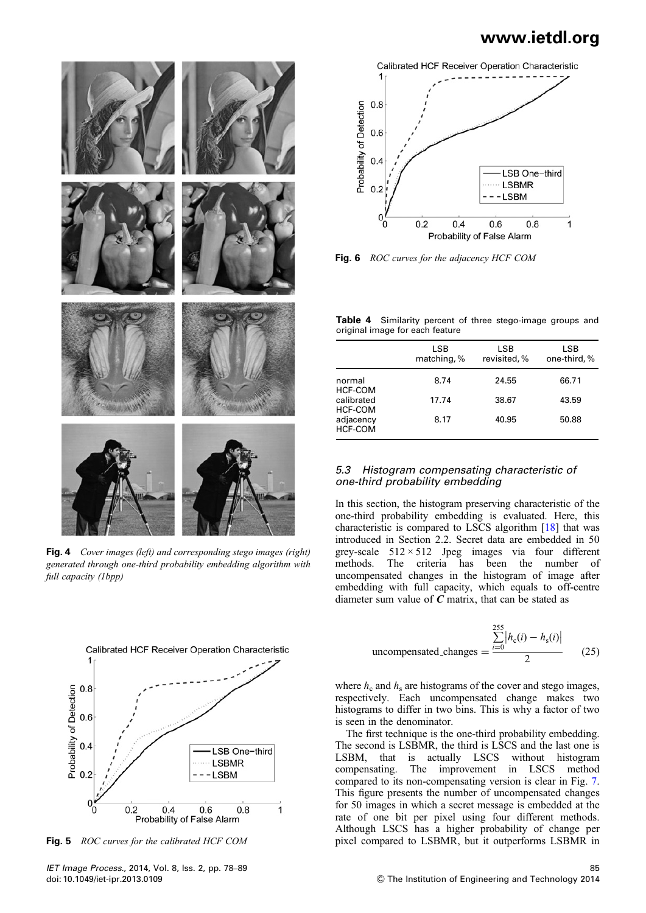

Fig. 4 Cover images (left) and corresponding stego images (right) generated through one-third probability embedding algorithm with full capacity (1bpp)





Fig. 6 ROC curves for the adjacency HCF COM

Table 4 Similarity percent of three stego-image groups and original image for each feature

|                             | LSB<br>matching, % | LSB<br>revisited, % | LSB<br>one-third, % |
|-----------------------------|--------------------|---------------------|---------------------|
| normal<br>HCF-COM           | 8.74               | 24.55               | 66.71               |
| calibrated<br>HCF-COM       | 17.74              | 38.67               | 43.59               |
| adjacency<br><b>HCF-COM</b> | 8.17               | 40.95               | 50.88               |
|                             |                    |                     |                     |

#### 5.3 Histogram compensating characteristic of one-third probability embedding

In this section, the histogram preserving characteristic of the one-third probability embedding is evaluated. Here, this characteristic is compared to LSCS algorithm [18] that was introduced in Section 2.2. Secret data are embedded in 50 grey-scale  $512 \times 512$  Jpeg images via four different methods. The criteria has been the number of The criteria has been the number of uncompensated changes in the histogram of image after embedding with full capacity, which equals to off-centre diameter sum value of  $C$  matrix, that can be stated as

$$
\text{uncompensated-changes} = \frac{\sum_{i=0}^{255} |h_c(i) - h_s(i)|}{2} \qquad (25)
$$

where  $h_c$  and  $h_s$  are histograms of the cover and stego images, respectively. Each uncompensated change makes two histograms to differ in two bins. This is why a factor of two is seen in the denominator.

The first technique is the one-third probability embedding. The second is LSBMR, the third is LSCS and the last one is LSBM, that is actually LSCS without histogram compensating. The improvement in LSCS method compared to its non-compensating version is clear in Fig. 7. This figure presents the number of uncompensated changes for 50 images in which a secret message is embedded at the rate of one bit per pixel using four different methods. Although LSCS has a higher probability of change per Fig. 5 ROC curves for the calibrated HCF COM pixel compared to LSBMR, but it outperforms LSBMR in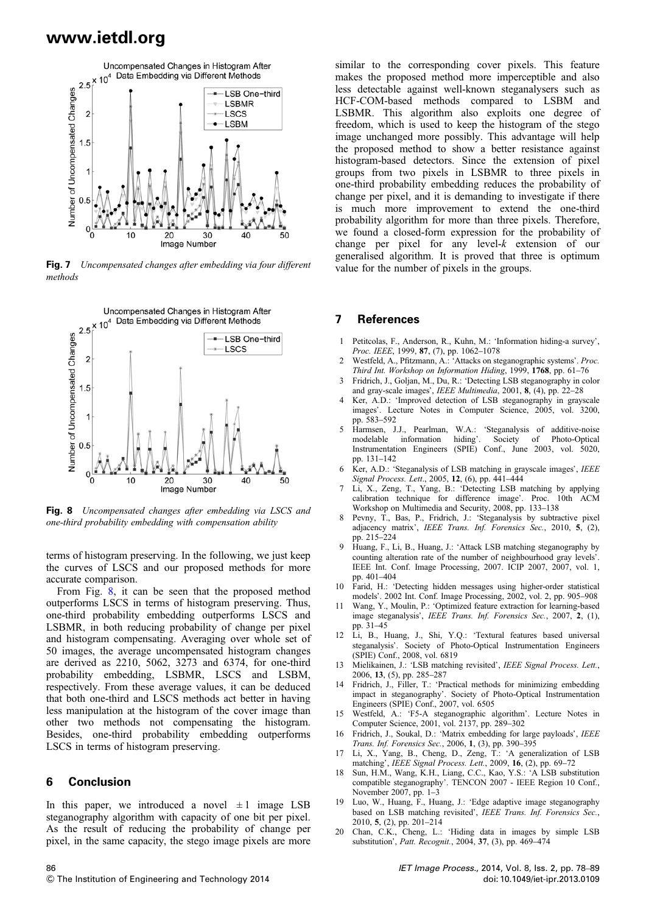

Fig. 7 Uncompensated changes after embedding via four different methods



Fig. 8 Uncompensated changes after embedding via LSCS and one-third probability embedding with compensation ability

terms of histogram preserving. In the following, we just keep the curves of LSCS and our proposed methods for more accurate comparison.

From Fig. 8, it can be seen that the proposed method outperforms LSCS in terms of histogram preserving. Thus, one-third probability embedding outperforms LSCS and LSBMR, in both reducing probability of change per pixel and histogram compensating. Averaging over whole set of 50 images, the average uncompensated histogram changes are derived as 2210, 5062, 3273 and 6374, for one-third probability embedding, LSBMR, LSCS and LSBM, respectively. From these average values, it can be deduced that both one-third and LSCS methods act better in having less manipulation at the histogram of the cover image than other two methods not compensating the histogram. Besides, one-third probability embedding outperforms LSCS in terms of histogram preserving.

#### 6 Conclusion

86

In this paper, we introduced a novel  $\pm 1$  image LSB steganography algorithm with capacity of one bit per pixel. As the result of reducing the probability of change per pixel, in the same capacity, the stego image pixels are more

similar to the corresponding cover pixels. This feature makes the proposed method more imperceptible and also less detectable against well-known steganalysers such as HCF-COM-based methods compared to LSBM and LSBMR. This algorithm also exploits one degree of freedom, which is used to keep the histogram of the stego image unchanged more possibly. This advantage will help the proposed method to show a better resistance against histogram-based detectors. Since the extension of pixel groups from two pixels in LSBMR to three pixels in one-third probability embedding reduces the probability of change per pixel, and it is demanding to investigate if there is much more improvement to extend the one-third probability algorithm for more than three pixels. Therefore, we found a closed-form expression for the probability of change per pixel for any level- $k$  extension of our generalised algorithm. It is proved that three is optimum value for the number of pixels in the groups.

#### 7 References

- 1 Petitcolas, F., Anderson, R., Kuhn, M.: 'Information hiding-a survey', Proc. IEEE, 1999, 87, (7), pp. 1062-1078
- 2 Westfeld, A., Pfitzmann, A.: 'Attacks on steganographic systems'. Proc. Third Int. Workshop on Information Hiding, 1999, 1768, pp. 61–76
- 3 Fridrich, J., Goljan, M., Du, R.: 'Detecting LSB steganography in color and gray-scale images', IEEE Multimedia, 2001, 8, (4), pp. 22–28
- 4 Ker, A.D.: 'Improved detection of LSB steganography in grayscale images'. Lecture Notes in Computer Science, 2005, vol. 3200, pp. 583–592
- 5 Harmsen, J.J., Pearlman, W.A.: 'Steganalysis of additive-noise information hiding'. Society of Photo-Optical Instrumentation Engineers (SPIE) Conf., June 2003, vol. 5020, pp. 131–142
- 6 Ker, A.D.: 'Steganalysis of LSB matching in grayscale images', IEEE Signal Process. Lett., 2005, 12, (6), pp. 441–444
- 7 Li, X., Zeng, T., Yang, B.: 'Detecting LSB matching by applying calibration technique for difference image'. Proc. 10th ACM Workshop on Multimedia and Security, 2008, pp. 133–138
- 8 Pevny, T., Bas, P., Fridrich, J.: 'Steganalysis by subtractive pixel adjacency matrix', IEEE Trans. Inf. Forensics Sec., 2010, 5, (2), pp. 215–224
- Huang, F., Li, B., Huang, J.: 'Attack LSB matching steganography by counting alteration rate of the number of neighbourhood gray levels'. IEEE Int. Conf. Image Processing, 2007. ICIP 2007, 2007, vol. 1, pp. 401–404
- 10 Farid, H.: 'Detecting hidden messages using higher-order statistical models'. 2002 Int. Conf. Image Processing, 2002, vol. 2, pp. 905–908
- Wang, Y., Moulin, P.: 'Optimized feature extraction for learning-based image steganalysis', IEEE Trans. Inf. Forensics Sec., 2007, 2, (1), pp. 31–45
- 12 Li, B., Huang, J., Shi, Y.Q.: 'Textural features based universal steganalysis'. Society of Photo-Optical Instrumentation Engineers (SPIE) Conf., 2008, vol. 6819
- 13 Mielikainen, J.: 'LSB matching revisited', IEEE Signal Process. Lett., 2006, 13, (5), pp. 285–287
- Fridrich, J., Filler, T.: 'Practical methods for minimizing embedding impact in steganography'. Society of Photo-Optical Instrumentation Engineers (SPIE) Conf., 2007, vol. 6505
- 15 Westfeld, A.: 'F5-A steganographic algorithm'. Lecture Notes in Computer Science, 2001, vol. 2137, pp. 289–302
- 16 Fridrich, J., Soukal, D.: 'Matrix embedding for large payloads', IEEE Trans. Inf. Forensics Sec., 2006, 1, (3), pp. 390–395
- 17 Li, X., Yang, B., Cheng, D., Zeng, T.: 'A generalization of LSB matching', IEEE Signal Process. Lett., 2009, 16, (2), pp. 69–72
- 18 Sun, H.M., Wang, K.H., Liang, C.C., Kao, Y.S.: 'A LSB substitution compatible steganography'. TENCON 2007 - IEEE Region 10 Conf., November 2007, pp. 1–3
- 19 Luo, W., Huang, F., Huang, J.: 'Edge adaptive image steganography based on LSB matching revisited', IEEE Trans. Inf. Forensics Sec., 2010, 5, (2), pp. 201–214
- 20 Chan, C.K., Cheng, L.: 'Hiding data in images by simple LSB substitution', Patt. Recognit., 2004, 37, (3), pp. 469–474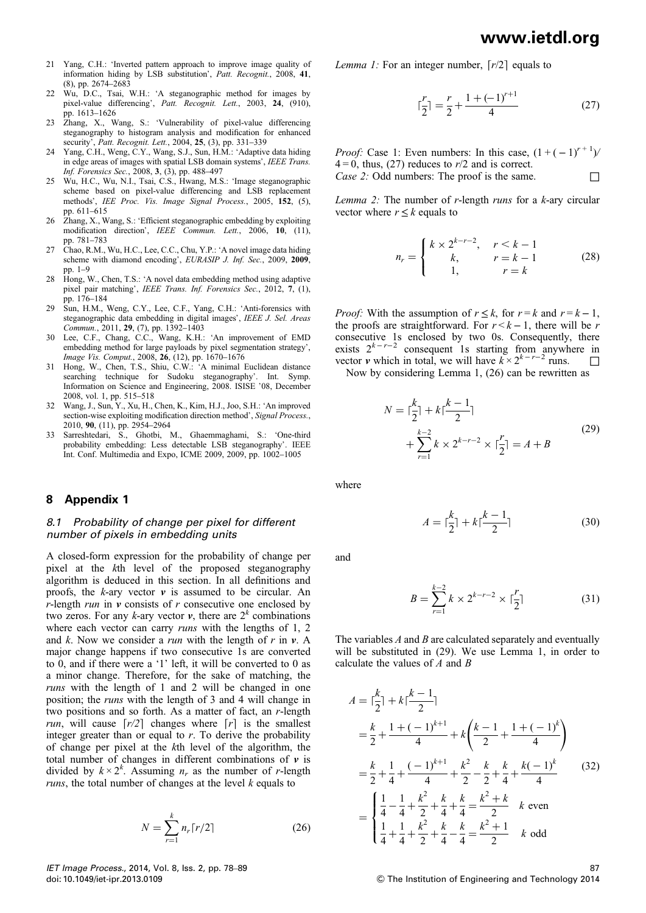- 21 Yang, C.H.: 'Inverted pattern approach to improve image quality of information hiding by LSB substitution', Patt. Recognit., 2008, 41, (8), pp. 2674–2683
- 22 Wu, D.C., Tsai, W.H.: 'A steganographic method for images by pixel-value differencing', Patt. Recognit. Lett., 2003, 24, (910), pp. 1613–1626
- 23 Zhang, X., Wang, S.: 'Vulnerability of pixel-value differencing steganography to histogram analysis and modification for enhanced security', Patt. Recognit. Lett., 2004, 25, (3), pp. 331-339
- 24 Yang, C.H., Weng, C.Y., Wang, S.J., Sun, H.M.: 'Adaptive data hiding in edge areas of images with spatial LSB domain systems', IEEE Trans. Inf. Forensics Sec., 2008, 3, (3), pp. 488–497
- 25 Wu, H.C., Wu, N.I., Tsai, C.S., Hwang, M.S.: 'Image steganographic scheme based on pixel-value differencing and LSB replacement methods', IEE Proc. Vis. Image Signal Process., 2005, 152, (5), pp. 611–615
- 26 Zhang, X., Wang, S.: 'Efficient steganographic embedding by exploiting modification direction', IEEE Commun. Lett., 2006, 10, (11), pp. 781–783
- 27 Chao, R.M., Wu, H.C., Lee, C.C., Chu, Y.P.: 'A novel image data hiding scheme with diamond encoding', EURASIP J. Inf. Sec., 2009, 2009, pp. 1–9
- 28 Hong, W., Chen, T.S.: 'A novel data embedding method using adaptive pixel pair matching', IEEE Trans. Inf. Forensics Sec., 2012, 7, (1), pp. 176–184
- 29 Sun, H.M., Weng, C.Y., Lee, C.F., Yang, C.H.: 'Anti-forensics with steganographic data embedding in digital images', IEEE J. Sel. Areas Commun., 2011, 29, (7), pp. 1392–1403
- 30 Lee, C.F., Chang, C.C., Wang, K.H.: 'An improvement of EMD embedding method for large payloads by pixel segmentation strategy', Image Vis. Comput., 2008, 26, (12), pp. 1670–1676
- 31 Hong, W., Chen, T.S., Shiu, C.W.: 'A minimal Euclidean distance searching technique for Sudoku steganography'. Int. Symp. Information on Science and Engineering, 2008. ISISE '08, December 2008, vol. 1, pp. 515–518
- 32 Wang, J., Sun, Y., Xu, H., Chen, K., Kim, H.J., Joo, S.H.: 'An improved section-wise exploiting modification direction method', Signal Process., 2010, 90, (11), pp. 2954–2964
- 33 Sarreshtedari, S., Ghotbi, M., Ghaemmaghami, S.: 'One-third probability embedding: Less detectable LSB steganography'. IEEE Int. Conf. Multimedia and Expo, ICME 2009, 2009, pp. 1002–1005

#### 8 Appendix 1

#### 8.1 Probability of change per pixel for different number of pixels in embedding units

A closed-form expression for the probability of change per pixel at the kth level of the proposed steganography algorithm is deduced in this section. In all definitions and proofs, the  $k$ -ary vector  $v$  is assumed to be circular. An r-length run in  $\bf{v}$  consists of r consecutive one enclosed by two zeros. For any k-ary vector  $v$ , there are  $2^k$  combinations where each vector can carry *runs* with the lengths of 1, 2 and k. Now we consider a *run* with the length of  $r$  in  $v$ . A major change happens if two consecutive 1s are converted to 0, and if there were a '1' left, it will be converted to 0 as a minor change. Therefore, for the sake of matching, the runs with the length of 1 and 2 will be changed in one position; the runs with the length of 3 and 4 will change in two positions and so forth. As a matter of fact, an r-length run, will cause  $[r/2]$  changes where  $[r]$  is the smallest integer greater than or equal to  $r$ . To derive the probability of change per pixel at the kth level of the algorithm, the total number of changes in different combinations of  $\nu$  is divided by  $k \times 2^k$ . Assuming  $n_r$  as the number of r-length *runs*, the total number of changes at the level  $k$  equals to

$$
N = \sum_{r=1}^{k} n_r \lceil r/2 \rceil \tag{26}
$$

Lemma 1: For an integer number,  $[r/2]$  equals to

$$
\lceil \frac{r}{2} \rceil = \frac{r}{2} + \frac{1 + (-1)^{r+1}}{4} \tag{27}
$$

*Proof:* Case 1: Even numbers: In this case,  $(1 + (-1)^{r+1})$  $4 = 0$ , thus, (27) reduces to r/2 and is correct. *Case 2:* Odd numbers: The proof is the same.  $\Box$ 

Lemma 2: The number of  $r$ -length *runs* for a  $k$ -ary circular vector where  $r \leq k$  equals to

$$
n_r = \begin{cases} k \times 2^{k-r-2}, & r < k-1 \\ k, & r = k-1 \\ 1, & r = k \end{cases}
$$
 (28)

*Proof:* With the assumption of  $r \leq k$ , for  $r = k$  and  $r = k - 1$ , the proofs are straightforward. For  $r < k - 1$ , there will be r consecutive 1s enclosed by two 0s. Consequently, there exists  $2^{k-r-2}$  consequent 1s starting from anywhere in vector v which in total, we will have  $k \times 2^{k-r-2}$  runs.  $\Box$ 

Now by considering Lemma 1, (26) can be rewritten as

$$
N = \lceil \frac{k}{2} \rceil + k \lceil \frac{k-1}{2} \rceil
$$
  
+ 
$$
\sum_{r=1}^{k-2} k \times 2^{k-r-2} \times \lceil \frac{r}{2} \rceil = A + B
$$
 (29)

where

$$
A = \lceil \frac{k}{2} \rceil + k \lceil \frac{k-1}{2} \rceil \tag{30}
$$

and

$$
B = \sum_{r=1}^{k-2} k \times 2^{k-r-2} \times \lceil \frac{r}{2} \rceil \tag{31}
$$

The variables  $A$  and  $B$  are calculated separately and eventually will be substituted in (29). We use Lemma 1, in order to calculate the values of  $A$  and  $B$ 

$$
A = \lceil \frac{k}{2} \rceil + k \lceil \frac{k-1}{2} \rceil
$$
  
\n
$$
= \frac{k}{2} + \frac{1 + (-1)^{k+1}}{4} + k \left( \frac{k-1}{2} + \frac{1 + (-1)^k}{4} \right)
$$
  
\n
$$
= \frac{k}{2} + \frac{1}{4} + \frac{(-1)^{k+1}}{4} + \frac{k^2}{2} - \frac{k}{2} + \frac{k}{4} + \frac{k(-1)^k}{4}
$$
(32)  
\n
$$
= \begin{cases} \frac{1}{4} - \frac{1}{4} + \frac{k^2}{2} + \frac{k}{4} + \frac{k}{4} = \frac{k^2 + k}{2} & k \text{ even} \\ \frac{1}{4} + \frac{1}{4} + \frac{k^2}{2} + \frac{k}{4} - \frac{k}{4} = \frac{k^2 + 1}{2} & k \text{ odd} \end{cases}
$$

87 & The Institution of Engineering and Technology 2014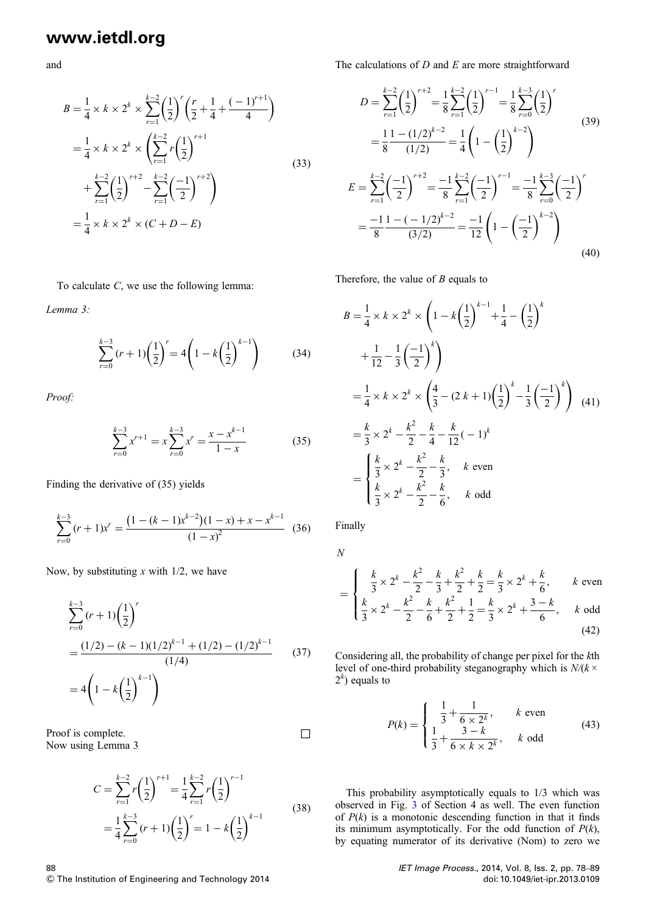and

$$
B = \frac{1}{4} \times k \times 2^{k} \times \sum_{r=1}^{k-2} \left(\frac{1}{2}\right)^{r} \left(\frac{r}{2} + \frac{1}{4} + \frac{(-1)^{r+1}}{4}\right)
$$
  
\n
$$
= \frac{1}{4} \times k \times 2^{k} \times \left(\sum_{r=1}^{k-2} r \left(\frac{1}{2}\right)^{r+1} + \sum_{r=1}^{k-2} \left(\frac{1}{2}\right)^{r+2} - \sum_{r=1}^{k-2} \left(\frac{-1}{2}\right)^{r+2}\right)
$$
  
\n
$$
= \frac{1}{4} \times k \times 2^{k} \times (C + D - E)
$$
  
\n(33)

To calculate C, we use the following lemma:

Lemma 3:

$$
\sum_{r=0}^{k-3} (r+1) \left(\frac{1}{2}\right)^r = 4 \left(1 - k \left(\frac{1}{2}\right)^{k-1}\right) \tag{34}
$$

Proof:

$$
\sum_{r=0}^{k-3} x^{r+1} = x \sum_{r=0}^{k-3} x^r = \frac{x - x^{k-1}}{1 - x}
$$
 (35)

Finding the derivative of (35) yields

$$
\sum_{r=0}^{k-3} (r+1)x^{r} = \frac{\left(1 - (k-1)x^{k-2}\right)\left(1-x\right) + x - x^{k-1}}{\left(1-x\right)^{2}} (36)
$$

Now, by substituting  $x$  with 1/2, we have

$$
\sum_{r=0}^{k-3} (r+1) \left(\frac{1}{2}\right)^r
$$
  
= 
$$
\frac{(1/2) - (k-1)(1/2)^{k-1} + (1/2) - (1/2)^{k-1}}{(1/4)}
$$
 (37)  
= 
$$
4 \left(1 - k \left(\frac{1}{2}\right)^{k-1}\right)
$$

Proof is complete.  $\Box$ Now using Lemma 3

$$
C = \sum_{r=1}^{k-2} r \left(\frac{1}{2}\right)^{r+1} = \frac{1}{4} \sum_{r=1}^{k-2} r \left(\frac{1}{2}\right)^{r-1}
$$
  
=  $\frac{1}{4} \sum_{r=0}^{k-3} (r+1) \left(\frac{1}{2}\right)^r = 1 - k \left(\frac{1}{2}\right)^{k-1}$  (38)

The calculations of  $D$  and  $E$  are more straightforward

$$
D = \sum_{r=1}^{k-2} \left(\frac{1}{2}\right)^{r+2} = \frac{1}{8} \sum_{r=1}^{k-2} \left(\frac{1}{2}\right)^{r-1} = \frac{1}{8} \sum_{r=0}^{k-3} \left(\frac{1}{2}\right)^r
$$
  
\n
$$
= \frac{1}{8} \frac{1 - (1/2)^{k-2}}{(1/2)} = \frac{1}{4} \left(1 - \left(\frac{1}{2}\right)^{k-2}\right)
$$
  
\n
$$
E = \sum_{r=1}^{k-2} \left(\frac{-1}{2}\right)^{r+2} = \frac{-1}{8} \sum_{r=1}^{k-2} \left(\frac{-1}{2}\right)^{r-1} = \frac{-1}{8} \sum_{r=0}^{k-3} \left(\frac{-1}{2}\right)^r
$$
  
\n
$$
= \frac{-1}{8} \frac{1 - (-1/2)^{k-2}}{(3/2)} = \frac{-1}{12} \left(1 - \left(\frac{-1}{2}\right)^{k-2}\right)
$$
  
\n(40)

Therefore, the value of  $B$  equals to

$$
B = \frac{1}{4} \times k \times 2^{k} \times \left(1 - k\left(\frac{1}{2}\right)^{k-1} + \frac{1}{4} - \left(\frac{1}{2}\right)^{k}\right)
$$
  
+ 
$$
\frac{1}{12} - \frac{1}{3}\left(\frac{-1}{2}\right)^{k}
$$
  
= 
$$
\frac{1}{4} \times k \times 2^{k} \times \left(\frac{4}{3} - (2 k + 1)\left(\frac{1}{2}\right)^{k} - \frac{1}{3}\left(\frac{-1}{2}\right)^{k}\right)
$$
  
= 
$$
\frac{k}{3} \times 2^{k} - \frac{k^{2}}{2} - \frac{k}{4} - \frac{k}{12}(-1)^{k}
$$
  
= 
$$
\begin{cases} \frac{k}{3} \times 2^{k} - \frac{k^{2}}{2} - \frac{k}{3}, & k \text{ even} \\ \frac{k}{3} \times 2^{k} - \frac{k^{2}}{2} - \frac{k}{6}, & k \text{ odd} \end{cases}
$$

Finally

N

$$
= \begin{cases} \frac{k}{3} \times 2^{k} - \frac{k^{2}}{2} - \frac{k}{3} + \frac{k^{2}}{2} + \frac{k}{2} = \frac{k}{3} \times 2^{k} + \frac{k}{6}, & k \text{ even} \\ \frac{k}{3} \times 2^{k} - \frac{k^{2}}{2} - \frac{k}{6} + \frac{k^{2}}{2} + \frac{1}{2} = \frac{k}{3} \times 2^{k} + \frac{3 - k}{6}, & k \text{ odd} \end{cases}
$$
(42)

Considering all, the probability of change per pixel for the kth level of one-third probability steganography which is  $N/(k \times$  $2<sup>k</sup>$ ) equals to

$$
P(k) = \begin{cases} \frac{1}{3} + \frac{1}{6 \times 2^{k}}, & k \text{ even} \\ \frac{1}{3} + \frac{3-k}{6 \times k \times 2^{k}}, & k \text{ odd} \end{cases}
$$
(43)

This probability asymptotically equals to 1/3 which was observed in Fig. 3 of Section 4 as well. The even function of  $P(k)$  is a monotonic descending function in that it finds its minimum asymptotically. For the odd function of  $P(k)$ , by equating numerator of its derivative (Nom) to zero we

> IET Image Process., 2014, Vol. 8, Iss. 2, pp. 78–89 doi: 10.1049/iet-ipr.2013.0109

88